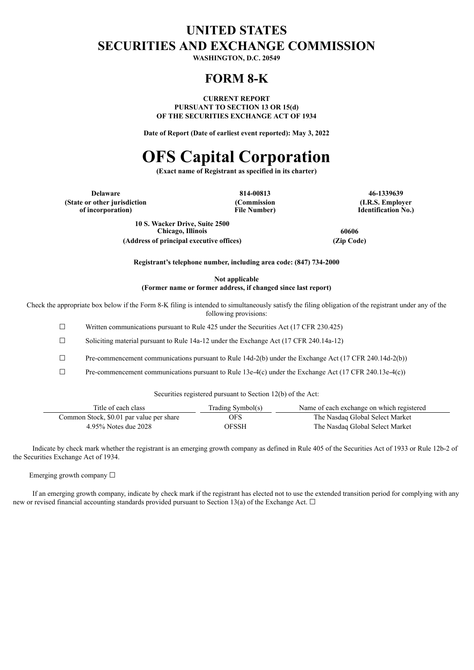# **UNITED STATES SECURITIES AND EXCHANGE COMMISSION**

**WASHINGTON, D.C. 20549**

# **FORM 8-K**

**CURRENT REPORT PURSUANT TO SECTION 13 OR 15(d) OF THE SECURITIES EXCHANGE ACT OF 1934**

**Date of Report (Date of earliest event reported): May 3, 2022**

# **OFS Capital Corporation**

**(Exact name of Registrant as specified in its charter)**

**Delaware 814-00813 46-1339639 (State or other jurisdiction of incorporation)**

**(Commission File Number)**

**(I.R.S. Employer Identification No.)**

**10 S. Wacker Drive, Suite 2500 Chicago, Illinois 60606 (Address of principal executive offices) (Zip Code)**

**Registrant's telephone number, including area code: (847) 734-2000**

**Not applicable (Former name or former address, if changed since last report)**

Check the appropriate box below if the Form 8-K filing is intended to simultaneously satisfy the filing obligation of the registrant under any of the following provisions:

☐ Written communications pursuant to Rule 425 under the Securities Act (17 CFR 230.425)

☐ Soliciting material pursuant to Rule 14a-12 under the Exchange Act (17 CFR 240.14a-12)

 $\Box$  Pre-commencement communications pursuant to Rule 14d-2(b) under the Exchange Act (17 CFR 240.14d-2(b))

 $\Box$  Pre-commencement communications pursuant to Rule 13e-4(c) under the Exchange Act (17 CFR 240.13e-4(c))

Securities registered pursuant to Section 12(b) of the Act:

| Title of each class                      | Trading Symbol(s) | Name of each exchange on which registered |
|------------------------------------------|-------------------|-------------------------------------------|
| Common Stock, \$0.01 par value per share | <b>OFS</b>        | The Nasdaq Global Select Market           |
| 4.95% Notes due 2028                     | <b>OFSSH</b>      | The Nasdaq Global Select Market           |

Indicate by check mark whether the registrant is an emerging growth company as defined in Rule 405 of the Securities Act of 1933 or Rule 12b-2 of the Securities Exchange Act of 1934.

Emerging growth company  $\Box$ 

If an emerging growth company, indicate by check mark if the registrant has elected not to use the extended transition period for complying with any new or revised financial accounting standards provided pursuant to Section 13(a) of the Exchange Act.  $\Box$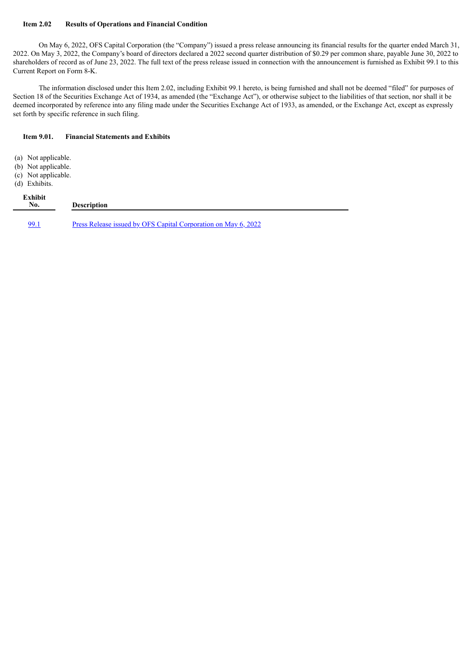#### **Item 2.02 Results of Operations and Financial Condition**

On May 6, 2022, OFS Capital Corporation (the "Company") issued a press release announcing its financial results for the quarter ended March 31, 2022. On May 3, 2022, the Company's board of directors declared a 2022 second quarter distribution of \$0.29 per common share, payable June 30, 2022 to shareholders of record as of June 23, 2022. The full text of the press release issued in connection with the announcement is furnished as Exhibit 99.1 to this Current Report on Form 8-K.

The information disclosed under this Item 2.02, including Exhibit 99.1 hereto, is being furnished and shall not be deemed "filed" for purposes of Section 18 of the Securities Exchange Act of 1934, as amended (the "Exchange Act"), or otherwise subject to the liabilities of that section, nor shall it be deemed incorporated by reference into any filing made under the Securities Exchange Act of 1933, as amended, or the Exchange Act, except as expressly set forth by specific reference in such filing.

#### **Item 9.01. Financial Statements and Exhibits**

- (a) Not applicable.
- (b) Not applicable.
- (c) Not applicable.
- (d) Exhibits.

# **Exhibit No. Description** [99.1](#page-3-0) Press Release issued by OFS Capital [Corporation](#page-3-0) on May 6, 2022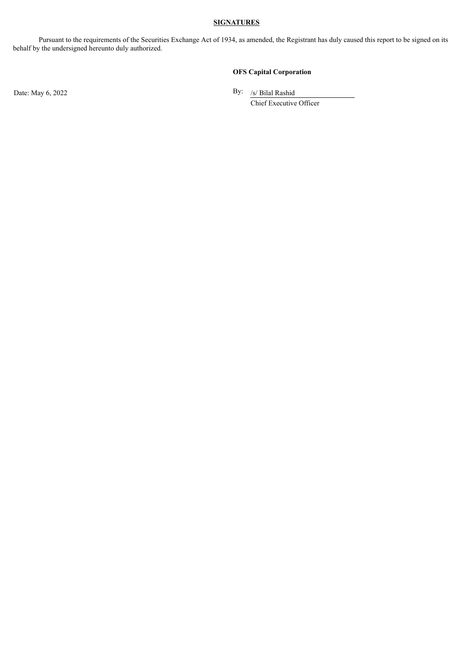# **SIGNATURES**

Pursuant to the requirements of the Securities Exchange Act of 1934, as amended, the Registrant has duly caused this report to be signed on its behalf by the undersigned hereunto duly authorized.

## **OFS Capital Corporation**

Date: May 6, 2022

By: /s/ Bilal Rashid

Chief Executive Officer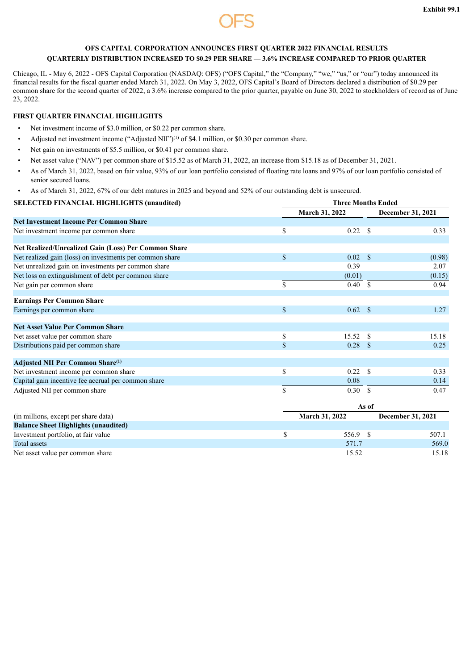

# <span id="page-3-0"></span>**OFS CAPITAL CORPORATION ANNOUNCES FIRST QUARTER 2022 FINANCIAL RESULTS QUARTERLY DISTRIBUTION INCREASED TO \$0.29 PER SHARE — 3.6% INCREASE COMPARED TO PRIOR QUARTER**

Chicago, IL - May 6, 2022 - OFS Capital Corporation (NASDAQ: OFS) ("OFS Capital," the "Company," "we," "us," or "our") today announced its financial results for the fiscal quarter ended March 31, 2022. On May 3, 2022, OFS Capital's Board of Directors declared a distribution of \$0.29 per common share for the second quarter of 2022, a 3.6% increase compared to the prior quarter, payable on June 30, 2022 to stockholders of record as of June 23, 2022.

## **FIRST QUARTER FINANCIAL HIGHLIGHTS**

- Net investment income of \$3.0 million, or \$0.22 per common share.
- Adjusted net investment income ("Adjusted NII")<sup>(1)</sup> of \$4.1 million, or \$0.30 per common share.
- Net gain on investments of \$5.5 million, or \$0.41 per common share.
- Net asset value ("NAV") per common share of \$15.52 as of March 31, 2022, an increase from \$15.18 as of December 31, 2021.
- As of March 31, 2022, based on fair value, 93% of our loan portfolio consisted of floating rate loans and 97% of our loan portfolio consisted of senior secured loans.
- As of March 31, 2022, 67% of our debt matures in 2025 and beyond and 52% of our outstanding debt is unsecured.

# **SELECTED FINANCIAL HIGHLIGHTS (unaudited) Three Months Ended March 31, 2022 December 31, 2021 Net Investment Income Per Common Share** Net investment income per common share 0.33 \$ 0.22 \$ 0.33 **Net Realized/Unrealized Gain (Loss) Per Common Share** Net realized gain (loss) on investments per common share  $$ 0.02 \text{ $}} \tag{0.98}$ Net unrealized gain on investments per common share 0.39 2.07 Net loss on extinguishment of debt per common share (0.15) (0.15) (0.01) (0.01) (0.15) Net gain per common share  $\frac{1}{\sqrt{3}}$  0.94 **Earnings Per Common Share** Earnings per common share  $\qquad \qquad$  1.27 **Net Asset Value Per Common Share** Net asset value per common share 15.18  $\frac{15.52}{8}$  15.52 \$ 15.18 Distributions paid per common share  $\qquad \qquad$  0.25 \$ 0.28 \$ 0.25 **Adjusted NII Per Common Share (1)**Net investment income per common share  $\qquad \qquad$  0.33 Capital gain incentive fee accrual per common share 0.08 0.14 Adjusted NII per common share  $\frac{1}{8}$  0.30  $\frac{1}{8}$  0.30  $\frac{1}{8}$  0.47 **As of**

| (in millions, except per share data)        | <b>March 31, 2022</b> |  | <b>December 31, 2021</b> |  |  |
|---------------------------------------------|-----------------------|--|--------------------------|--|--|
| <b>Balance Sheet Highlights (unaudited)</b> |                       |  |                          |  |  |
| Investment portfolio, at fair value         | 556.9 \$              |  | 507.1                    |  |  |
| Total assets                                | 571.7                 |  | 569.0                    |  |  |
| Net asset value per common share            | 15.52                 |  | 15.18                    |  |  |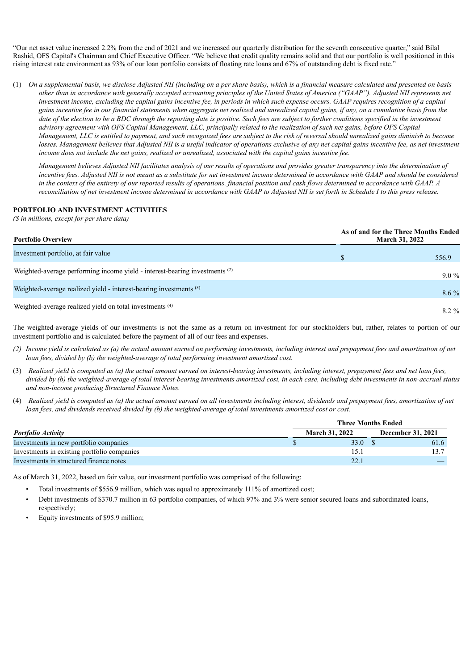"Our net asset value increased 2.2% from the end of 2021 and we increased our quarterly distribution for the seventh consecutive quarter," said Bilal Rashid, OFS Capital's Chairman and Chief Executive Officer. "We believe that credit quality remains solid and that our portfolio is well positioned in this rising interest rate environment as 93% of our loan portfolio consists of floating rate loans and 67% of outstanding debt is fixed rate."

(1) On a supplemental basis, we disclose Adjusted NII (including on a per share basis), which is a financial measure calculated and presented on basis other than in accordance with generally accepted accounting principles of the United States of America ("GAAP"). Adjusted NII represents net investment income, excluding the capital gains incentive fee, in periods in which such expense occurs. GAAP requires recognition of a capital gains incentive fee in our financial statements when aggregate net realized and unrealized capital gains, if any, on a cumulative basis from the date of the election to be a BDC through the reporting date is positive. Such fees are subject to further conditions specified in the investment advisory agreement with OFS Capital Management, LLC, principally related to the realization of such net gains, before OFS Capital Management, LLC is entitled to payment, and such recognized fees are subject to the risk of reversal should unrealized gains diminish to become losses. Management believes that Adjusted NII is a useful indicator of operations exclusive of any net capital gains incentive fee, as net investment income does not include the net gains, realized or unrealized, associated with the capital gains incentive fee.

Management believes Adjusted NII facilitates analysis of our results of operations and provides greater transparency into the determination of incentive fees. Adjusted NII is not meant as a substitute for net investment income determined in accordance with GAAP and should be considered in the context of the entirety of our reported results of operations, financial position and cash flows determined in accordance with GAAP. A reconciliation of net investment income determined in accordance with GAAP to Adiusted NII is set forth in Schedule I to this press release.

#### **PORTFOLIO AND INVESTMENT ACTIVITIES**

*(\$ in millions, except for per share data)*

| <b>Portfolio Overview</b>                                                              |  | As of and for the Three Months Ended<br><b>March 31, 2022</b> |  |  |  |
|----------------------------------------------------------------------------------------|--|---------------------------------------------------------------|--|--|--|
| Investment portfolio, at fair value                                                    |  | 556.9                                                         |  |  |  |
| Weighted-average performing income yield - interest-bearing investments <sup>(2)</sup> |  | $9.0\%$                                                       |  |  |  |
| Weighted-average realized yield - interest-bearing investments <sup>(3)</sup>          |  | $8.6\%$                                                       |  |  |  |
| Weighted-average realized yield on total investments (4)                               |  | $8.2 \%$                                                      |  |  |  |

The weighted-average yields of our investments is not the same as a return on investment for our stockholders but, rather, relates to portion of our investment portfolio and is calculated before the payment of all of our fees and expenses.

- (2) Income vield is calculated as (a) the actual amount earned on performing investments, including interest and prepayment fees and amortization of net *loan fees, divided by (b) the weighted-average of total performing investment amortized cost.*
- (3) Realized yield is computed as (a) the actual amount earned on interest-bearing investments, including interest, prepayment fees and net loan fees, divided by (b) the weighted-average of total interest-bearing investments amortized cost, in each case, including debt investments in non-accrual status *and non-income producing Structured Finance Notes.*
- (4) Realized yield is computed as (a) the actual amount earned on all investments including interest, dividends and prepayment fees, amortization of net loan fees, and dividends received divided by (b) the weighted-average of total investments amortized cost or cost.

|                                             | <b>Three Months Ended</b> |  |                          |  |  |  |  |  |
|---------------------------------------------|---------------------------|--|--------------------------|--|--|--|--|--|
| <b>Portfolio Activity</b>                   | <b>March 31, 2022</b>     |  | <b>December 31, 2021</b> |  |  |  |  |  |
| Investments in new portfolio companies      | 33.0 S                    |  | 61.6                     |  |  |  |  |  |
| Investments in existing portfolio companies |                           |  |                          |  |  |  |  |  |
| Investments in structured finance notes     | $22^{\circ}$<br>44.       |  |                          |  |  |  |  |  |

As of March 31, 2022, based on fair value, our investment portfolio was comprised of the following:

- Total investments of \$556.9 million, which was equal to approximately 111% of amortized cost;
- Debt investments of \$370.7 million in 63 portfolio companies, of which 97% and 3% were senior secured loans and subordinated loans, respectively;
- Equity investments of \$95.9 million;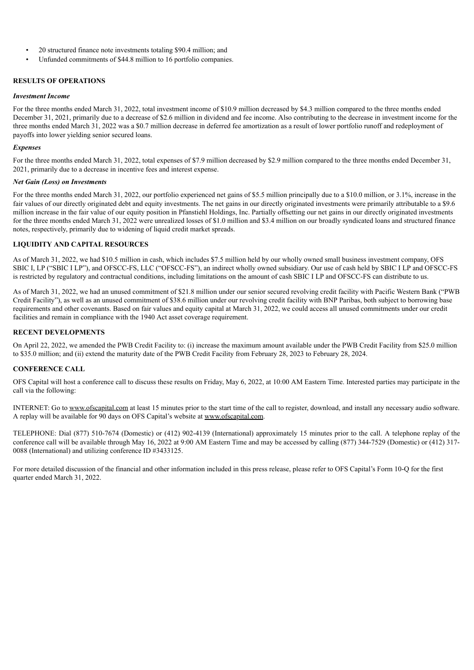- 20 structured finance note investments totaling \$90.4 million; and
- Unfunded commitments of \$44.8 million to 16 portfolio companies.

## **RESULTS OF OPERATIONS**

#### *Investment Income*

For the three months ended March 31, 2022, total investment income of \$10.9 million decreased by \$4.3 million compared to the three months ended December 31, 2021, primarily due to a decrease of \$2.6 million in dividend and fee income. Also contributing to the decrease in investment income for the three months ended March 31, 2022 was a \$0.7 million decrease in deferred fee amortization as a result of lower portfolio runoff and redeployment of payoffs into lower yielding senior secured loans.

#### *Expenses*

For the three months ended March 31, 2022, total expenses of \$7.9 million decreased by \$2.9 million compared to the three months ended December 31, 2021, primarily due to a decrease in incentive fees and interest expense.

#### *Net Gain (Loss) on Investments*

For the three months ended March 31, 2022, our portfolio experienced net gains of \$5.5 million principally due to a \$10.0 million, or 3.1%, increase in the fair values of our directly originated debt and equity investments. The net gains in our directly originated investments were primarily attributable to a \$9.6 million increase in the fair value of our equity position in Pfanstiehl Holdings, Inc. Partially offsetting our net gains in our directly originated investments for the three months ended March 31, 2022 were unrealized losses of \$1.0 million and \$3.4 million on our broadly syndicated loans and structured finance notes, respectively, primarily due to widening of liquid credit market spreads.

#### **LIQUIDITY AND CAPITAL RESOURCES**

As of March 31, 2022, we had \$10.5 million in cash, which includes \$7.5 million held by our wholly owned small business investment company, OFS SBIC I, LP ("SBIC I LP"), and OFSCC-FS, LLC ("OFSCC-FS"), an indirect wholly owned subsidiary. Our use of cash held by SBIC I LP and OFSCC-FS is restricted by regulatory and contractual conditions, including limitations on the amount of cash SBIC I LP and OFSCC-FS can distribute to us.

As of March 31, 2022, we had an unused commitment of \$21.8 million under our senior secured revolving credit facility with Pacific Western Bank ("PWB Credit Facility"), as well as an unused commitment of \$38.6 million under our revolving credit facility with BNP Paribas, both subject to borrowing base requirements and other covenants. Based on fair values and equity capital at March 31, 2022, we could access all unused commitments under our credit facilities and remain in compliance with the 1940 Act asset coverage requirement.

## **RECENT DEVELOPMENTS**

On April 22, 2022, we amended the PWB Credit Facility to: (i) increase the maximum amount available under the PWB Credit Facility from \$25.0 million to \$35.0 million; and (ii) extend the maturity date of the PWB Credit Facility from February 28, 2023 to February 28, 2024.

#### **CONFERENCE CALL**

OFS Capital will host a conference call to discuss these results on Friday, May 6, 2022, at 10:00 AM Eastern Time. Interested parties may participate in the call via the following:

INTERNET: Go to www.ofscapital.com at least 15 minutes prior to the start time of the call to register, download, and install any necessary audio software. A replay will be available for 90 days on OFS Capital's website at www.ofscapital.com.

TELEPHONE: Dial (877) 510-7674 (Domestic) or (412) 902-4139 (International) approximately 15 minutes prior to the call. A telephone replay of the conference call will be available through May 16, 2022 at 9:00 AM Eastern Time and may be accessed by calling (877) 344-7529 (Domestic) or (412) 317- 0088 (International) and utilizing conference ID #3433125.

For more detailed discussion of the financial and other information included in this press release, please refer to OFS Capital's Form 10-Q for the first quarter ended March 31, 2022.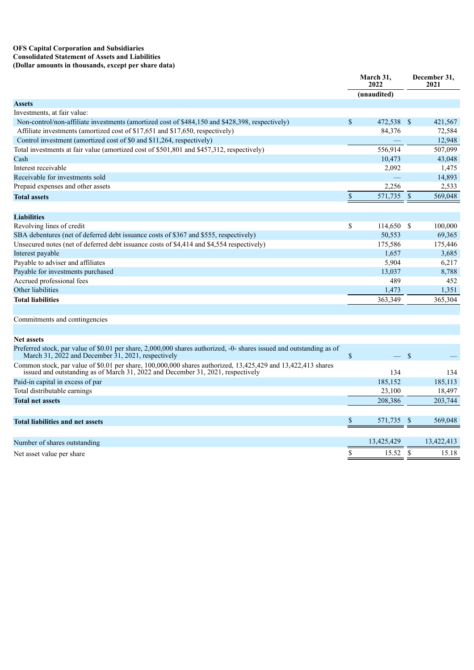#### **OFS Capital Corporation and Subsidiaries Consolidated Statement of Assets and Liabilities (Dollar amounts in thousands, except per share data)**

|                                                                                                                      |               | March 31,<br>2022 |  | December 31,<br>2021 |  |
|----------------------------------------------------------------------------------------------------------------------|---------------|-------------------|--|----------------------|--|
|                                                                                                                      |               | (unaudited)       |  |                      |  |
| <b>Assets</b>                                                                                                        |               |                   |  |                      |  |
| Investments, at fair value:                                                                                          |               |                   |  |                      |  |
| Non-control/non-affiliate investments (amortized cost of \$484,150 and \$428,398, respectively)                      | $\mathsf{\$}$ | 472,538 \$        |  | 421,567              |  |
| Affiliate investments (amortized cost of \$17,651 and \$17,650, respectively)                                        |               | 84,376            |  | 72,584               |  |
| Control investment (amortized cost of \$0 and \$11,264, respectively)                                                |               |                   |  | 12,948               |  |
| Total investments at fair value (amortized cost of \$501,801 and \$457,312, respectively)                            |               | 556.914           |  | 507,099              |  |
| Cash                                                                                                                 |               | 10,473            |  | 43,048               |  |
| Interest receivable                                                                                                  |               | 2,092             |  | 1,475                |  |
| Receivable for investments sold                                                                                      |               |                   |  | 14,893               |  |
| Prepaid expenses and other assets                                                                                    |               | 2,256             |  | 2,533                |  |
| <b>Total assets</b>                                                                                                  | $\$$          | 571,735 \$        |  | 569,048              |  |
|                                                                                                                      |               |                   |  |                      |  |
| <b>Liabilities</b>                                                                                                   |               |                   |  |                      |  |
| Revolving lines of credit                                                                                            | $\mathbb{S}$  | 114,650 \$        |  | 100,000              |  |
| SBA debentures (net of deferred debt issuance costs of \$367 and \$555, respectively)                                |               | 50,553            |  | 69,365               |  |
| Unsecured notes (net of deferred debt issuance costs of \$4,414 and \$4,554 respectively)                            |               | 175,586           |  | 175,446              |  |
| Interest payable                                                                                                     |               | 1,657             |  | 3,685                |  |
| Payable to adviser and affiliates                                                                                    |               | 5,904             |  | 6,217                |  |
| Payable for investments purchased                                                                                    |               | 13,037            |  | 8,788                |  |
| Accrued professional fees                                                                                            |               | 489               |  | 452                  |  |
| Other liabilities                                                                                                    |               | 1,473             |  | 1,351                |  |
| <b>Total liabilities</b>                                                                                             |               | 363,349           |  | 365,304              |  |
| Commitments and contingencies                                                                                        |               |                   |  |                      |  |
|                                                                                                                      |               |                   |  |                      |  |
| <b>Net assets</b>                                                                                                    |               |                   |  |                      |  |
| Preferred stock, par value of \$0.01 per share, 2,000,000 shares authorized, -0- shares issued and outstanding as of |               |                   |  |                      |  |

| Trending stock, par value of \$0.01 per share, 2,000,000 shares authorized, -0- shares issued and outstanding as of<br>March 31, 2022 and December 31, 2021, respectively                       | $\overline{\phantom{0}}$ | -S |            |
|-------------------------------------------------------------------------------------------------------------------------------------------------------------------------------------------------|--------------------------|----|------------|
| Common stock, par value of \$0.01 per share, 100,000,000 shares authorized, 13,425,429 and 13,422,413 shares<br>issued and outstanding as of March 31, 2022 and December 31, 2021, respectively | 134                      |    | 134        |
| Paid-in capital in excess of par                                                                                                                                                                | 185,152                  |    | 185,113    |
| Total distributable earnings                                                                                                                                                                    | 23,100                   |    | 18,497     |
| <b>Total net assets</b>                                                                                                                                                                         | 208,386                  |    | 203,744    |
|                                                                                                                                                                                                 |                          |    |            |
| <b>Total liabilities and net assets</b>                                                                                                                                                         | 571,735 \$               |    | 569,048    |
|                                                                                                                                                                                                 |                          |    |            |
| Number of shares outstanding                                                                                                                                                                    | 13,425,429               |    | 13,422,413 |
| Net asset value per share                                                                                                                                                                       | 15.52                    |    | 15.18      |
|                                                                                                                                                                                                 |                          |    |            |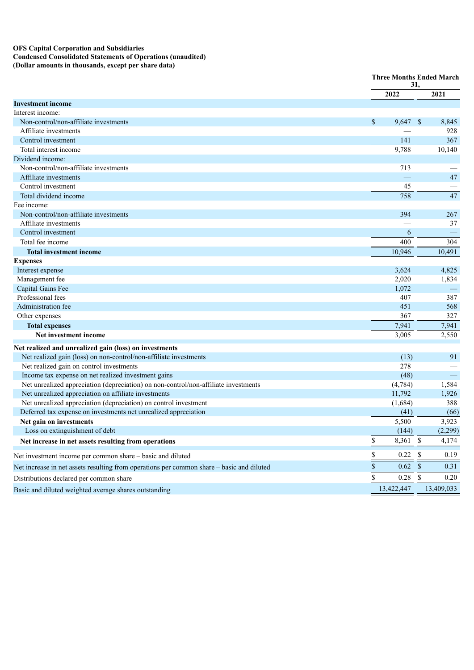#### **OFS Capital Corporation and Subsidiaries Condensed Consolidated Statements of Operations (unaudited)**

**(Dollar amounts in thousands, except per share data)**

|                                                                                           | <b>Three Months Ended March</b><br>31,               |                       |  |
|-------------------------------------------------------------------------------------------|------------------------------------------------------|-----------------------|--|
|                                                                                           | 2022                                                 | 2021                  |  |
| <b>Investment income</b>                                                                  |                                                      |                       |  |
| Interest income:                                                                          |                                                      |                       |  |
| Non-control/non-affiliate investments                                                     | \$<br>9,647 \$                                       | 8,845                 |  |
| Affiliate investments                                                                     |                                                      | 928                   |  |
| Control investment                                                                        | 141                                                  | 367                   |  |
| Total interest income                                                                     | 9,788                                                | 10,140                |  |
| Dividend income:                                                                          |                                                      |                       |  |
| Non-control/non-affiliate investments                                                     | 713                                                  |                       |  |
| Affiliate investments                                                                     |                                                      | 47                    |  |
| Control investment                                                                        | 45                                                   |                       |  |
| Total dividend income                                                                     | 758                                                  | 47                    |  |
| Fee income:                                                                               |                                                      |                       |  |
| Non-control/non-affiliate investments                                                     | 394                                                  | 267                   |  |
| Affiliate investments                                                                     |                                                      | 37                    |  |
| Control investment                                                                        | 6                                                    |                       |  |
| Total fee income                                                                          | 400                                                  | 304                   |  |
| <b>Total investment income</b>                                                            | 10,946                                               | 10,491                |  |
| <b>Expenses</b>                                                                           |                                                      |                       |  |
| Interest expense                                                                          | 3,624                                                | 4,825                 |  |
| Management fee                                                                            | 2,020                                                | 1,834                 |  |
| Capital Gains Fee                                                                         | 1,072                                                |                       |  |
| Professional fees                                                                         | 407                                                  | 387                   |  |
| Administration fee                                                                        | 451                                                  | 568                   |  |
| Other expenses                                                                            | 367                                                  | 327                   |  |
| <b>Total expenses</b>                                                                     | 7,941                                                | 7,941                 |  |
| Net investment income                                                                     | 3,005                                                | 2,550                 |  |
| Net realized and unrealized gain (loss) on investments                                    |                                                      |                       |  |
| Net realized gain (loss) on non-control/non-affiliate investments                         | (13)                                                 | 91                    |  |
| Net realized gain on control investments                                                  | 278                                                  |                       |  |
| Income tax expense on net realized investment gains                                       | (48)                                                 |                       |  |
| Net unrealized appreciation (depreciation) on non-control/non-affiliate investments       | (4, 784)                                             | 1,584                 |  |
| Net unrealized appreciation on affiliate investments                                      | 11,792                                               | 1,926                 |  |
| Net unrealized appreciation (depreciation) on control investment                          | (1,684)                                              | 388                   |  |
| Deferred tax expense on investments net unrealized appreciation                           | (41)                                                 | (66)                  |  |
| Net gain on investments                                                                   | 5,500                                                | 3,923                 |  |
| Loss on extinguishment of debt                                                            | (144)                                                | (2,299)               |  |
| Net increase in net assets resulting from operations                                      | \$<br>8,361                                          | $\mathbb{S}$<br>4,174 |  |
| Net investment income per common share - basic and diluted                                | \$<br>0.22                                           | $\mathbb{S}$<br>0.19  |  |
| Net increase in net assets resulting from operations per common share - basic and diluted | $\overline{\overline{\overline{s}}}$<br>$0.62 \quad$ | 0.31                  |  |
| Distributions declared per common share                                                   | $0.28$ \$<br>\$                                      | 0.20                  |  |
| Basic and diluted weighted average shares outstanding                                     | 13,422,447                                           | 13,409,033            |  |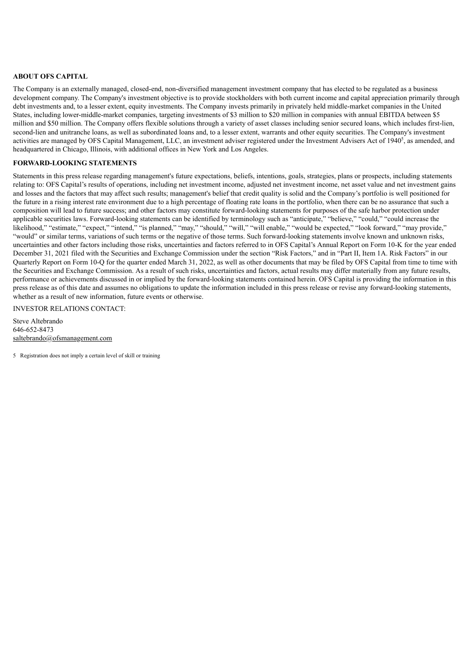#### **ABOUT OFS CAPITAL**

The Company is an externally managed, closed-end, non-diversified management investment company that has elected to be regulated as a business development company. The Company's investment objective is to provide stockholders with both current income and capital appreciation primarily through debt investments and, to a lesser extent, equity investments. The Company invests primarily in privately held middle-market companies in the United States, including lower-middle-market companies, targeting investments of \$3 million to \$20 million in companies with annual EBITDA between \$5 million and \$50 million. The Company offers flexible solutions through a variety of asset classes including senior secured loans, which includes first-lien, second-lien and unitranche loans, as well as subordinated loans and, to a lesser extent, warrants and other equity securities. The Company's investment activities are managed by OFS Capital Management, LLC, an investment adviser registered under the Investment Advisers Act of 1940<sup>5</sup>, as amended, and headquartered in Chicago, Illinois, with additional offices in New York and Los Angeles.

#### **FORWARD-LOOKING STATEMENTS**

Statements in this press release regarding management's future expectations, beliefs, intentions, goals, strategies, plans or prospects, including statements relating to: OFS Capital's results of operations, including net investment income, adjusted net investment income, net asset value and net investment gains and losses and the factors that may affect such results; management's belief that credit quality is solid and the Company's portfolio is well positioned for the future in a rising interest rate environment due to a high percentage of floating rate loans in the portfolio, when there can be no assurance that such a composition will lead to future success; and other factors may constitute forward-looking statements for purposes of the safe harbor protection under applicable securities laws. Forward-looking statements can be identified by terminology such as "anticipate," "believe," "could," "could increase the likelihood," "estimate," "expect," "intend," "is planned," "may," "should," "will," "will enable," "would be expected," "look forward," "may provide," "would" or similar terms, variations of such terms or the negative of those terms. Such forward-looking statements involve known and unknown risks, uncertainties and other factors including those risks, uncertainties and factors referred to in OFS Capital's Annual Report on Form 10-K for the year ended December 31, 2021 filed with the Securities and Exchange Commission under the section "Risk Factors," and in "Part II, Item 1A. Risk Factors" in our Quarterly Report on Form 10-Q for the quarter ended March 31, 2022, as well as other documents that may be filed by OFS Capital from time to time with the Securities and Exchange Commission. As a result of such risks, uncertainties and factors, actual results may differ materially from any future results, performance or achievements discussed in or implied by the forward-looking statements contained herein. OFS Capital is providing the information in this press release as of this date and assumes no obligations to update the information included in this press release or revise any forward-looking statements, whether as a result of new information, future events or otherwise.

## INVESTOR RELATIONS CONTACT:

Steve Altebrando 646-652-8473 saltebrando@ofsmanagement.com

5 Registration does not imply a certain level of skill or training